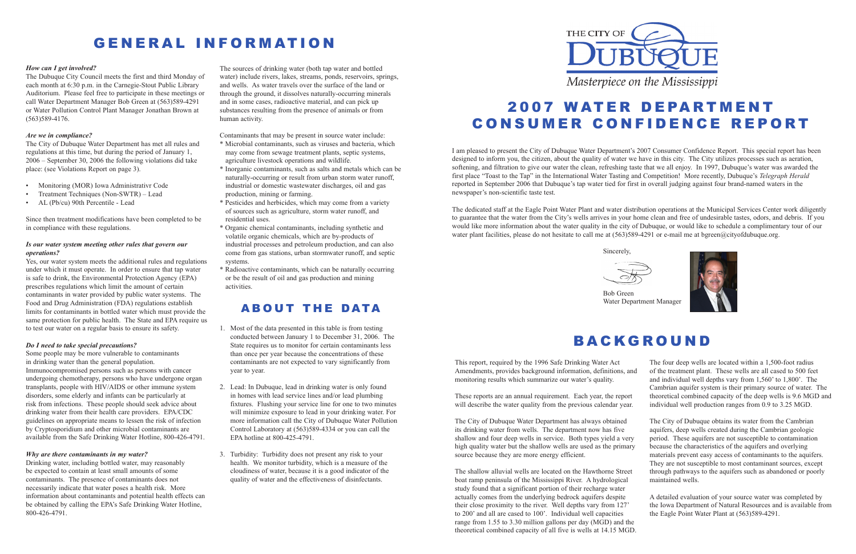I am pleased to present the City of Dubuque Water Department's 2007 Consumer Confidence Report. This special report has been designed to inform you, the citizen, about the quality of water we have in this city. The City utilizes processes such as aeration, softening, and filtration to give our water the clean, refreshing taste that we all enjoy. In 1997, Dubuque's water was awarded the first place "Toast to the Tap" in the International Water Tasting and Competition! More recently, Dubuque's *Telegraph Herald* reported in September 2006 that Dubuque's tap water tied for first in overall judging against four brand-named waters in the newspaper's non-scientific taste test.

The dedicated staff at the Eagle Point Water Plant and water distribution operations at the Municipal Services Center work diligently to guarantee that the water from the City's wells arrives in your home clean and free of undesirable tastes, odors, and debris. If you would like more information about the water quality in the city of Dubuque, or would like to schedule a complimentary tour of our water plant facilities, please do not hesitate to call me at  $(563)589-4291$  or e-mail me at bgreen@cityofdubuque.org.

- Monitoring (MOR) Iowa Administrativr Code
- Treatment Techniques (Non-SWTR) Lead
- AL (Pb/cu) 90th Percentile Lead

Sincerely,



 Bob Green Water Department Manager

# 2 0 0 7 W AT E R D E PA R T M E N T C O N S U M E R C O N F I D E N C E R E P O R T

## GENERAL INFORMATION

## *How can I get involved?*

The Dubuque City Council meets the first and third Monday of each month at 6:30 p.m. in the Carnegie-Stout Public Library Auditorium. Please feel free to participate in these meetings or call Water Department Manager Bob Green at (563)589-4291 or Water Pollution Control Plant Manager Jonathan Brown at (563)589-4176.

#### *Are we in compliance?*

The City of Dubuque Water Department has met all rules and regulations at this time, but during the period of January 1, 2006 – September 30, 2006 the following violations did take place: (see Violations Report on page 3).

Since then treatment modifications have been completed to be in compliance with these regulations.

#### *Is our water system meeting other rules that govern our operations?*

Yes, our water system meets the additional rules and regulations under which it must operate. In order to ensure that tap water is safe to drink, the Environmental Protection Agency (EPA) prescribes regulations which limit the amount of certain contaminants in water provided by public water systems. The Food and Drug Administration (FDA) regulations establish limits for contaminants in bottled water which must provide the same protection for public health. The State and EPA require us to test our water on a regular basis to ensure its safety.

#### *Do I need to take special precautions?*

Some people may be more vulnerable to contaminants in drinking water than the general population. Immunocompromised persons such as persons with cancer undergoing chemotherapy, persons who have undergone organ transplants, people with HIV/AIDS or other immune system disorders, some elderly and infants can be particularly at risk from infections. These people should seek advice about drinking water from their health care providers. EPA/CDC guidelines on appropriate means to lessen the risk of infection by Cryptosporidium and other microbial contaminants are available from the Safe Drinking Water Hotline, 800-426-4791.

These reports are an annual requirement. Each year, the report will describe the water quality from the previous calendar year.

#### *Why are there contaminants in my water?*

The shallow alluvial wells are located on the Hawthorne Street boat ramp peninsula of the Mississippi River. A hydrological study found that a significant portion of their recharge water actually comes from the underlying bedrock aquifers despite their close proximity to the river. Well depths vary from 127' to 200' and all are cased to 100'. Individual well capacities range from 1.55 to 3.30 million gallons per day (MGD) and the theoretical combined capacity of all five is wells at 14.15 MGD.





## **BACKGROUND**

Drinking water, including bottled water, may reasonably be expected to contain at least small amounts of some contaminants. The presence of contaminants does not necessarily indicate that water poses a health risk. More information about contaminants and potential health effects can be obtained by calling the EPA's Safe Drinking Water Hotline, 800-426-4791.

The sources of drinking water (both tap water and bottled water) include rivers, lakes, streams, ponds, reservoirs, springs, and wells. As water travels over the surface of the land or through the ground, it dissolves naturally-occurring minerals and in some cases, radioactive material, and can pick up substances resulting from the presence of animals or from human activity.

Contaminants that may be present in source water include:

- \* Microbial contaminants, such as viruses and bacteria, which may come from sewage treatment plants, septic systems, agriculture livestock operations and wildlife.
- \* Inorganic contaminants, such as salts and metals which can be naturally-occurring or result from urban storm water runoff, industrial or domestic wastewater discharges, oil and gas production, mining or farming.
- \* Pesticides and herbicides, which may come from a variety of sources such as agriculture, storm water runoff, and residential uses.
- \* Organic chemical contaminants, including synthetic and volatile organic chemicals, which are by-products of industrial processes and petroleum production, and can also come from gas stations, urban stormwater runoff, and septic systems.
- \* Radioactive contaminants, which can be naturally occurring or be the result of oil and gas production and mining activities.

## **ABOUT THE DATA**

- 1. Most of the data presented in this table is from testing conducted between January 1 to December 31, 2006. The State requires us to monitor for certain contaminants less than once per year because the concentrations of these contaminants are not expected to vary significantly from year to year.
- 2. Lead: In Dubuque, lead in drinking water is only found in homes with lead service lines and/or lead plumbing fixtures. Flushing your service line for one to two minutes will minimize exposure to lead in your drinking water. For more information call the City of Dubuque Water Pollution Control Laboratory at (563)589-4334 or you can call the EPA hotline at 800-425-4791.
- 3. Turbidity: Turbidity does not present any risk to your health. We monitor turbidity, which is a measure of the cloudiness of water, because it is a good indicator of the quality of water and the effectiveness of disinfectants.

# THE CITY OF

This report, required by the 1996 Safe Drinking Water Act Amendments, provides background information, definitions, and monitoring results which summarize our water's quality.

The City of Dubuque Water Department has always obtained its drinking water from wells. The department now has five shallow and four deep wells in service. Both types yield a ver high quality water but the shallow wells are used as the primar source because they are more energy efficient.

|     | The four deep wells are located within a 1,500-foot radius     |
|-----|----------------------------------------------------------------|
| ınd | of the treatment plant. These wells are all cased to 500 feet  |
|     | and individual well depths vary from 1,560' to 1,800'. The     |
|     | Cambrian aquifer system is their primary source of water. The  |
| rt. | theoretical combined capacity of the deep wells is 9.6 MGD and |
| r.  | individual well production ranges from 0.9 to 3.25 MGD.        |
|     |                                                                |
|     | The City of Dubuque obtains its water from the Cambrian        |
|     | aquifers, deep wells created during the Cambrian geologic      |
| ry  | period. These aquifers are not susceptible to contamination    |
| ry  | because the characteristics of the aquifers and overlying      |
|     | materials prevent easy access of contaminants to the aquifers. |
|     | They are not susceptible to most contaminant sources, except   |
| .t  | through pathways to the aquifers such as abandoned or poorly   |
|     | maintained wells.                                              |
|     |                                                                |

A detailed evaluation of your source water was completed by the Iowa Department of Natural Resources and is available from the Eagle Point Water Plant at (563)589-4291.